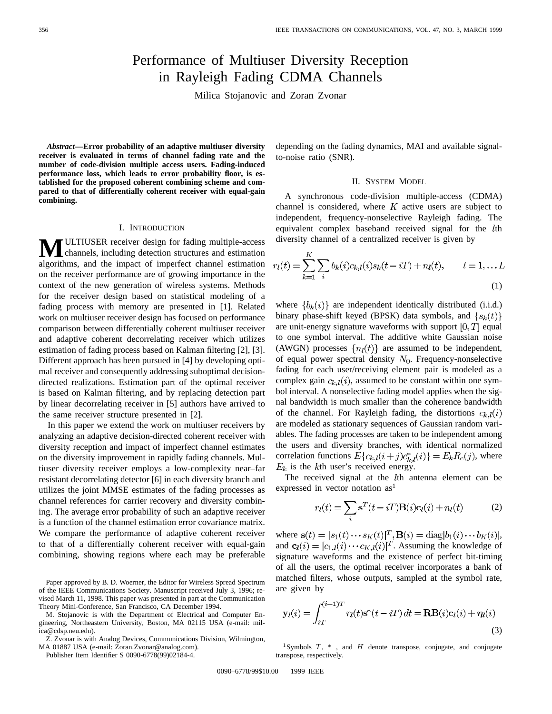# Performance of Multiuser Diversity Reception in Rayleigh Fading CDMA Channels

Milica Stojanovic and Zoran Zvonar

*Abstract—***Error probability of an adaptive multiuser diversity receiver is evaluated in terms of channel fading rate and the number of code-division multiple access users. Fading-induced performance loss, which leads to error probability floor, is established for the proposed coherent combining scheme and compared to that of differentially coherent receiver with equal-gain combining.**

## I. INTRODUCTION

**MULTIUSER** receiver design for fading multiple-access<br>channels, including detection structures and estimation algorithms, and the impact of imperfect channel estimation on the receiver performance are of growing importance in the context of the new generation of wireless systems. Methods for the receiver design based on statistical modeling of a fading process with memory are presented in [1]. Related work on multiuser receiver design has focused on performance comparison between differentially coherent multiuser receiver and adaptive coherent decorrelating receiver which utilizes estimation of fading process based on Kalman filtering [2], [3]. Different approach has been pursued in [4] by developing optimal receiver and consequently addressing suboptimal decisiondirected realizations. Estimation part of the optimal receiver is based on Kalman filtering, and by replacing detection part by linear decorrelating receiver in [5] authors have arrived to the same receiver structure presented in [2].

In this paper we extend the work on multiuser receivers by analyzing an adaptive decision-directed coherent receiver with diversity reception and impact of imperfect channel estimates on the diversity improvement in rapidly fading channels. Multiuser diversity receiver employs a low-complexity near–far resistant decorrelating detector [6] in each diversity branch and utilizes the joint MMSE estimates of the fading processes as channel references for carrier recovery and diversity combining. The average error probability of such an adaptive receiver is a function of the channel estimation error covariance matrix. We compare the performance of adaptive coherent receiver to that of a differentially coherent receiver with equal-gain combining, showing regions where each may be preferable

Paper approved by B. D. Woerner, the Editor for Wireless Spread Spectrum of the IEEE Communications Society. Manuscript received July 3, 1996; revised March 11, 1998. This paper was presented in part at the Communication Theory Mini-Conference, San Francisco, CA December 1994.

M. Stojanovic is with the Department of Electrical and Computer Engineering, Northeastern University, Boston, MA 02115 USA (e-mail: milica@cdsp.neu.edu).

Z. Zvonar is with Analog Devices, Communications Division, Wilmington, MA 01887 USA (e-mail: Zoran.Zvonar@analog.com).

Publisher Item Identifier S 0090-6778(99)02184-4.

depending on the fading dynamics, MAI and available signalto-noise ratio (SNR).

# II. SYSTEM MODEL

A synchronous code-division multiple-access (CDMA) channel is considered, where  $K$  active users are subject to independent, frequency-nonselective Rayleigh fading. The equivalent complex baseband received signal for the *lth* diversity channel of a centralized receiver is given by

$$
r_l(t) = \sum_{k=1}^{K} \sum_{i} b_k(i)c_{k,l}(i)s_k(t - iT) + n_l(t), \qquad l = 1, \dots L
$$
\n(1)

where  $\{b_k(i)\}\$ are independent identically distributed (i.i.d.) binary phase-shift keyed (BPSK) data symbols, and  $\{s_k(t)\}$ are unit-energy signature waveforms with support  $[0, T]$  equal to one symbol interval. The additive white Gaussian noise (AWGN) processes  $\{n_l(t)\}\$ are assumed to be independent, of equal power spectral density  $N_0$ . Frequency-nonselective fading for each user/receiving element pair is modeled as a complex gain  $c_{k,l}(i)$ , assumed to be constant within one symbol interval. A nonselective fading model applies when the signal bandwidth is much smaller than the coherence bandwidth of the channel. For Rayleigh fading, the distortions  $c_{k,l}(i)$ are modeled as stationary sequences of Gaussian random variables. The fading processes are taken to be independent among the users and diversity branches, with identical normalized correlation functions  $E\{c_{k,l}(i+j)c_{k,l}^*(i)\}=E_kR_c(j)$ , where  $E_k$  is the kth user's received energy.

The received signal at the *l*th antenna element can be expressed in vector notation  $\text{as}^1$ 

$$
r_l(t) = \sum_i \mathbf{s}^T(t - iT) \mathbf{B}(i) \mathbf{c}_l(i) + n_l(t)
$$
 (2)

where  $\mathbf{s}(t) = [s_1(t) \cdots s_K(t)]^T$ ,  $\mathbf{B}(i) = \text{diag}[b_1(i) \cdots b_K(i)]$ , and  $\mathbf{c}_i(i) = [c_{1,i}(i) \cdots c_{K,i}(i)]^T$ . Assuming the knowledge of signature waveforms and the existence of perfect bit-timing of all the users, the optimal receiver incorporates a bank of matched filters, whose outputs, sampled at the symbol rate, are given by

$$
\mathbf{y}_l(i) = \int_{iT}^{(i+1)T} r_l(t)\mathbf{s}^*(t - iT) dt = \mathbf{R}\mathbf{B}(i)\mathbf{c}_l(i) + \eta_l(i)
$$
\n(3)

<sup>1</sup>Symbols  $T$ ,  $*$ , and  $H$  denote transpose, conjugate, and conjugate transpose, respectively.

0090-6778/99\$10.00 © 1999 IEEE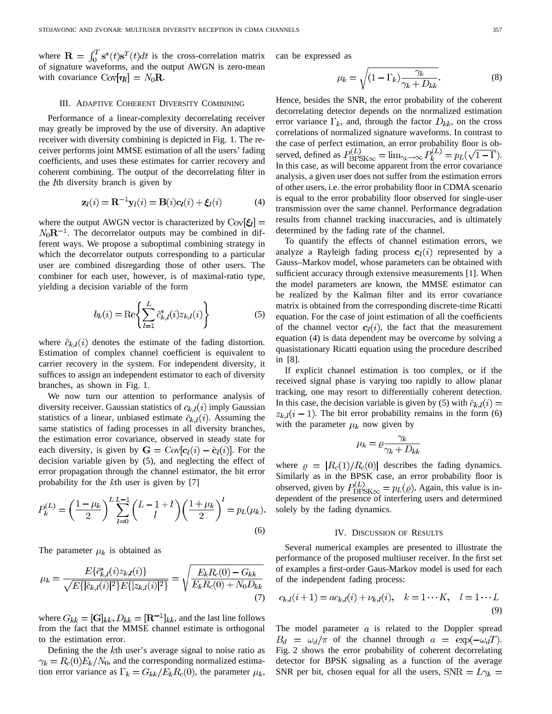where  $\mathbf{R} = \int_0^T \mathbf{s}^*(t)\mathbf{s}^T(t)dt$  is the cross-correlation matrix of signature waveforms, and the output AWGN is zero-mean with covariance  $Cov[\eta_l] = N_0 R$ .

## III. ADAPTIVE COHERENT DIVERSITY COMBINING

Performance of a linear-complexity decorrelating receiver may greatly be improved by the use of diversity. An adaptive receiver with diversity combining is depicted in Fig. 1. The receiver performs joint MMSE estimation of all the users' fading coefficients, and uses these estimates for carrier recovery and coherent combining. The output of the decorrelating filter in the *l*th diversity branch is given by

$$
\mathbf{z}_l(i) = \mathbf{R}^{-1} \mathbf{y}_l(i) = \mathbf{B}(i)\mathbf{c}_l(i) + \xi_l(i) \tag{4}
$$

where the output AWGN vector is characterized by  $Cov[\xi_l]$  =  $N_0R^{-1}$ . The decorrelator outputs may be combined in different ways. We propose a suboptimal combining strategy in which the decorrelator outputs corresponding to a particular user are combined disregarding those of other users. The combiner for each user, however, is of maximal-ratio type, yielding a decision variable of the form

$$
b_k(i) = \text{Re}\left\{ \sum_{l=1}^{L} \hat{c}_{k,l}^*(i) z_{k,l}(i) \right\}
$$
 (5)

where  $\hat{c}_{k,l}(i)$  denotes the estimate of the fading distortion. Estimation of complex channel coefficient is equivalent to carrier recovery in the system. For independent diversity, it suffices to assign an independent estimator to each of diversity branches, as shown in Fig. 1.

We now turn our attention to performance analysis of diversity receiver. Gaussian statistics of  $c_{k,l}(i)$  imply Gaussian statistics of a linear, unbiased estimate  $\hat{c}_{k,l}(i)$ . Assuming the same statistics of fading processes in all diversity branches, the estimation error covariance, observed in steady state for each diversity, is given by  $\mathbf{G} = \text{Cov}[\mathbf{c}_l(i) - \hat{\mathbf{c}}_l(i)]$ . For the decision variable given by (5), and neglecting the effect of error propagation through the channel estimator, the bit error probability for the kth user is given by [7]

$$
P_k^{(L)} = \left(\frac{1-\mu_k}{2}\right)^L \sum_{l=0}^{L-1} \binom{L-1+l}{l} \left(\frac{1+\mu_k}{2}\right)^l = p_L(\mu_k).
$$
\n(6)

The parameter  $\mu_k$  is obtained as

$$
\mu_k = \frac{E\{\hat{c}_{k,l}^*(i)z_{k,l}(i)\}}{\sqrt{E\{|\hat{c}_{k,l}(i)|^2\}E\{|z_{k,l}(i)|^2\}}} = \sqrt{\frac{E_k R_c(0) - G_{kk}}{E_k R_c(0) + N_0 D_{kk}}}
$$
(7)

where  $G_{kk} = [\mathbf{G}]_{kk}, D_{kk} = [\mathbf{R}^{-1}]_{kk}$ , and the last line follows from the fact that the MMSE channel estimate is orthogonal to the estimation error.

Defining the the  $k$ th user's average signal to noise ratio as  $\gamma_k = R_c(0) E_k/N_0$ , and the corresponding normalized estimation error variance as  $\Gamma_k = G_{kk}/E_k R_c(0)$ , the parameter  $\mu_k$ , can be expressed as

$$
\mu_k = \sqrt{(1 - \Gamma_k) \frac{\gamma_k}{\gamma_k + D_{kk}}}.\tag{8}
$$

Hence, besides the SNR, the error probability of the coherent decorrelating detector depends on the normalized estimation error variance  $\Gamma_k$ , and, through the factor  $D_{kk}$ , on the cross correlations of normalized signature waveforms. In contrast to the case of perfect estimation, an error probability floor is observed, defined as  $P_{\text{BPSK}\infty}^{(L)} = \lim_{\gamma_k \to \infty} P_k^{(L)} = p_L(\sqrt{1 - \Gamma}).$ In this case, as will become apparent from the error covariance analysis, a given user does not suffer from the estimation errors of other users, i.e. the error probability floor in CDMA scenario is equal to the error probability floor observed for single-user transmission over the same channel. Performance degradation results from channel tracking inaccuracies, and is ultimately determined by the fading rate of the channel.

To quantify the effects of channel estimation errors, we analyze a Rayleigh fading process  $c_l(i)$  represented by a Gauss–Markov model, whose parameters can be obtained with sufficient accuracy through extensive measurements [1]. When the model parameters are known, the MMSE estimator can be realized by the Kalman filter and its error covariance matrix is obtained from the corresponding discrete-time Ricatti equation. For the case of joint estimation of all the coefficients of the channel vector  $c_l(i)$ , the fact that the measurement equation (4) is data dependent may be overcome by solving a quasistationary Ricatti equation using the procedure described in [8].

If explicit channel estimation is too complex, or if the received signal phase is varying too rapidly to allow planar tracking, one may resort to differentially coherent detection. In this case, the decision variable is given by (5) with  $\hat{c}_{k,l}(i) =$  $z_{k,l}(i-1)$ . The bit error probability remains in the form (6) with the parameter  $\mu_k$  now given by

$$
u_k = \varrho \frac{\gamma_k}{\gamma_k + D_{kk}}
$$

where  $\rho = |R_c(1)/R_c(0)|$  describes the fading dynamics. Similarly as in the BPSK case, an error probability floor is observed, given by  $P_{\text{DPSK}\infty}^{(L)} = p_L(\varrho)$ . Again, this value is independent of the presence of interfering users and determined solely by the fading dynamics.

#### IV. DISCUSSION OF RESULTS

Several numerical examples are presented to illustrate the performance of the proposed multiuser receiver. In the first set of examples a first-order Gaus-Markov model is used for each of the independent fading process:

$$
c_{k,l}(i+1) = ac_{k,l}(i) + \nu_{k,l}(i), \quad k = 1 \cdots K, \quad l = 1 \cdots L
$$
\n(9)

The model parameter  $a$  is related to the Doppler spread  $B_d = \omega_d/\pi$  of the channel through  $a = \exp(-\omega_d T)$ . Fig. 2 shows the error probability of coherent decorrelating detector for BPSK signaling as a function of the average SNR per bit, chosen equal for all the users,  $SNR = L\gamma_k =$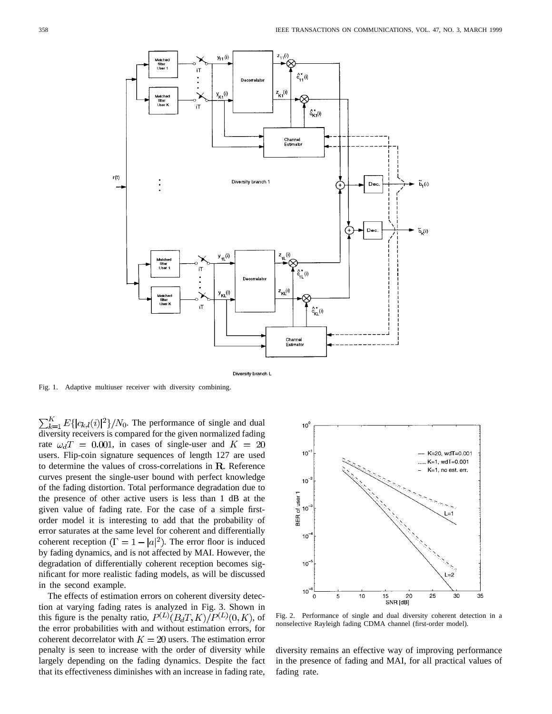

Diversity branch L

Fig. 1. Adaptive multiuser receiver with diversity combining.

 $\sum_{k=1}^{K} E\{|c_{k,l}(i)|^2\}/N_0$ . The performance of single and dual diversity receivers is compared for the given normalized fading rate  $\omega_d T = 0.001$ , in cases of single-user and  $K = 20$ users. Flip-coin signature sequences of length 127 are used to determine the values of cross-correlations in  $R$ . Reference curves present the single-user bound with perfect knowledge of the fading distortion. Total performance degradation due to the presence of other active users is less than 1 dB at the given value of fading rate. For the case of a simple firstorder model it is interesting to add that the probability of error saturates at the same level for coherent and differentially coherent reception  $(\Gamma = 1 - |a|^2)$ . The error floor is induced by fading dynamics, and is not affected by MAI. However, the degradation of differentially coherent reception becomes significant for more realistic fading models, as will be discussed in the second example.

The effects of estimation errors on coherent diversity detection at varying fading rates is analyzed in Fig. 3. Shown in this figure is the penalty ratio,  $P^{(L)}(B_dT,K)/P^{(L)}(0,K)$ , of the error probabilities with and without estimation errors, for coherent decorrelator with  $K = 20$  users. The estimation error penalty is seen to increase with the order of diversity while largely depending on the fading dynamics. Despite the fact that its effectiveness diminishes with an increase in fading rate,



Fig. 2. Performance of single and dual diversity coherent detection in a nonselective Rayleigh fading CDMA channel (first-order model).

diversity remains an effective way of improving performance in the presence of fading and MAI, for all practical values of fading rate.